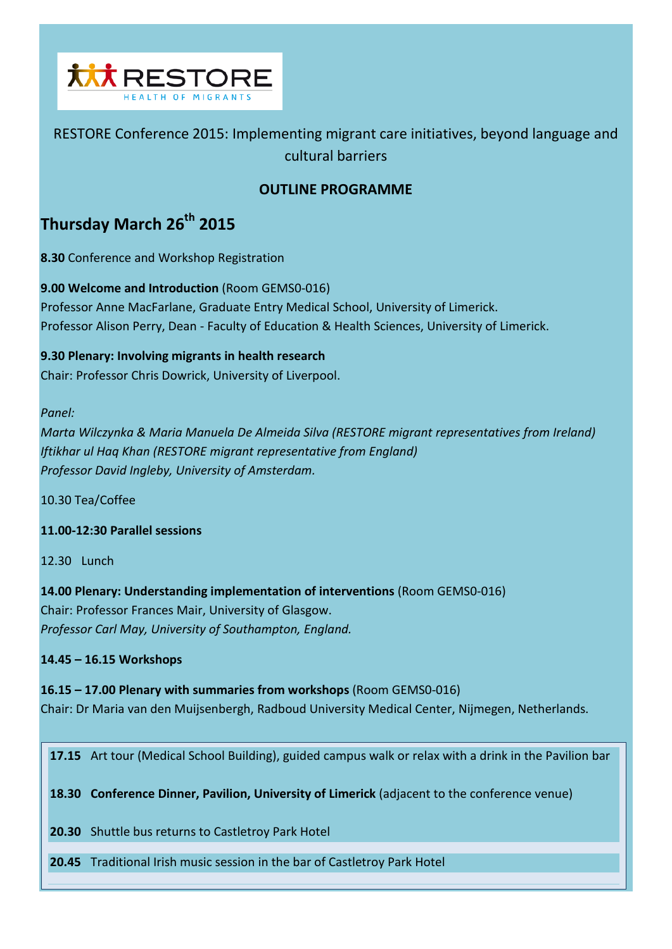

# RESTORE Conference 2015: Implementing migrant care initiatives, beyond language and cultural barriers

# **OUTLINE PROGRAMME**

# **Thursday March 26th 2015**

**8.30** Conference and Workshop Registration

**9.00 Welcome and Introduction** (Room GEMS0-016) Professor Anne MacFarlane, Graduate Entry Medical School, University of Limerick. Professor Alison Perry, Dean - Faculty of Education & Health Sciences, University of Limerick.

# **9.30 Plenary: Involving migrants in health research**

Chair: Professor Chris Dowrick, University of Liverpool.

## *Panel:*

*Marta Wilczynka & Maria Manuela De Almeida Silva (RESTORE migrant representatives from Ireland) Iftikhar ul Haq Khan (RESTORE migrant representative from England) Professor David Ingleby, University of Amsterdam.*

10.30 Tea/Coffee

**11.00-12:30 Parallel sessions**

12.30 Lunch

**14.00 Plenary: Understanding implementation of interventions** (Room GEMS0-016) Chair: Professor Frances Mair, University of Glasgow. *Professor Carl May, University of Southampton, England.* 

**14.45 – 16.15 Workshops**

**16.15 – 17.00 Plenary with summaries from workshops** (Room GEMS0-016) Chair: Dr Maria van den Muijsenbergh, Radboud University Medical Center, Nijmegen, Netherlands.

**17.15** Art tour (Medical School Building), guided campus walk or relax with a drink in the Pavilion bar

**18.30 Conference Dinner, Pavilion, University of Limerick** (adjacent to the conference venue)

**20.30** Shuttle bus returns to Castletroy Park Hotel

**20.45** Traditional Irish music session in the bar of Castletroy Park Hotel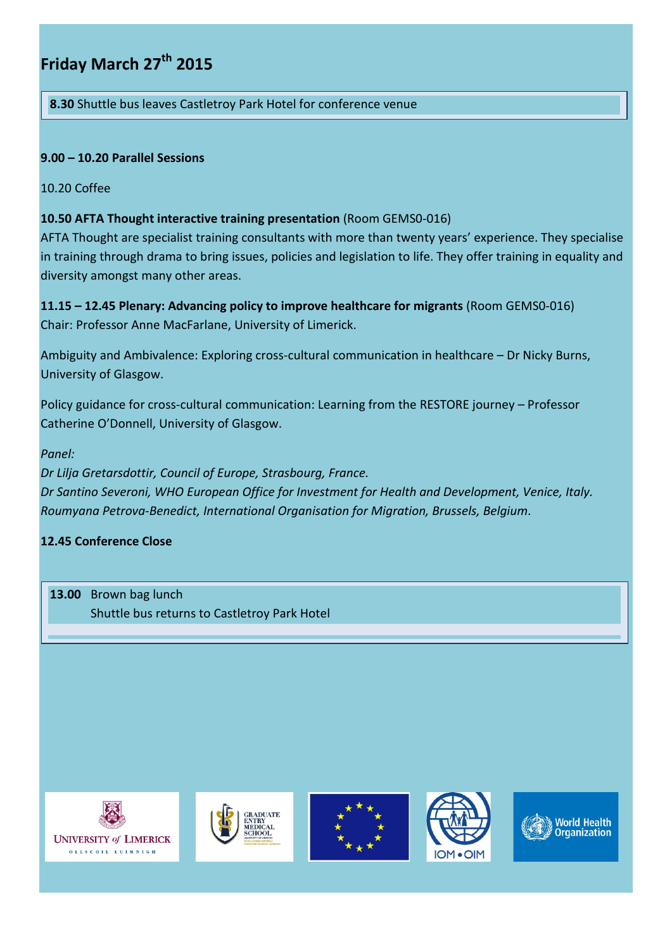# **Friday March 27th 2015**

**8.30** Shuttle bus leaves Castletroy Park Hotel for conference venue

# **9.00 – 10.20 Parallel Sessions**

## 10.20 Coffee

# **10.50 AFTA Thought interactive training presentation** (Room GEMS0-016)

AFTA Thought are specialist training consultants with more than twenty years' experience. They specialise in training through drama to bring issues, policies and legislation to life. They offer training in equality and diversity amongst many other areas.

**11.15 – 12.45 Plenary: Advancing policy to improve healthcare for migrants** (Room GEMS0-016) Chair: Professor Anne MacFarlane, University of Limerick.

Ambiguity and Ambivalence: Exploring cross-cultural communication in healthcare – Dr Nicky Burns, University of Glasgow.

Policy guidance for cross-cultural communication: Learning from the RESTORE journey – Professor Catherine O'Donnell, University of Glasgow.

## *Panel:*

*Dr Lilja Gretarsdottir, Council of Europe, Strasbourg, France. Dr Santino Severoni, WHO European Office for Investment for Health and Development, Venice, Italy. Roumyana Petrova-Benedict, International Organisation for Migration, Brussels, Belgium*.

# **12.45 Conference Close**

**13.00** Brown bag lunch Shuttle bus returns to Castletroy Park Hotel









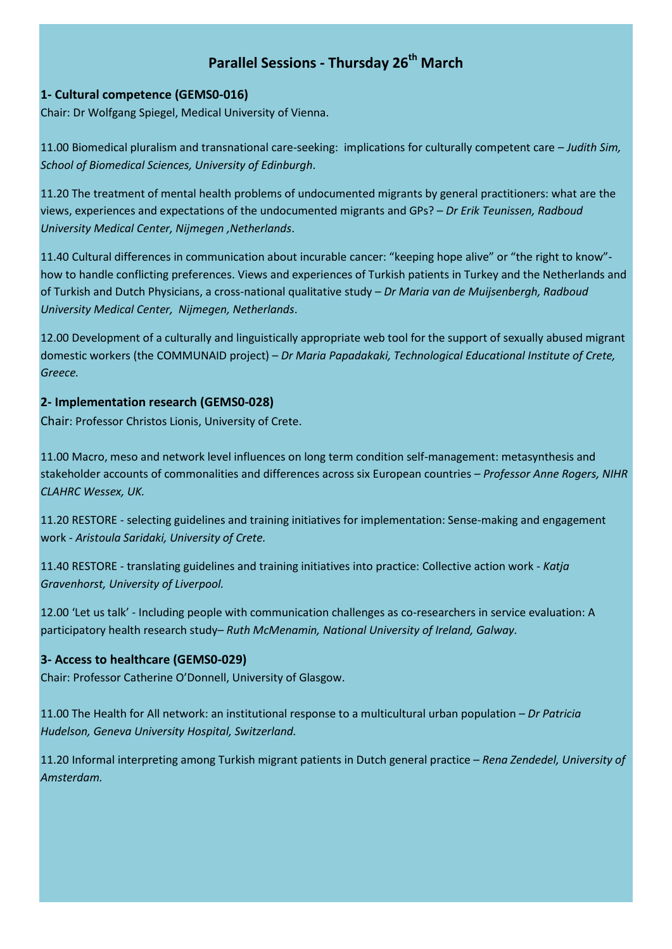# **Parallel Sessions - Thursday 26<sup>th</sup> March**

## **1- Cultural competence (GEMS0-016)**

Chair: Dr Wolfgang Spiegel, Medical University of Vienna.

11.00 Biomedical pluralism and transnational care-seeking: implications for culturally competent care – *Judith Sim, School of Biomedical Sciences, University of Edinburgh*.

11.20 The treatment of mental health problems of undocumented migrants by general practitioners: what are the views, experiences and expectations of the undocumented migrants and GPs? – *Dr Erik Teunissen, Radboud University Medical Center, Nijmegen ,Netherlands*.

11.40 Cultural differences in communication about incurable cancer: "keeping hope alive" or "the right to know" how to handle conflicting preferences. Views and experiences of Turkish patients in Turkey and the Netherlands and of Turkish and Dutch Physicians, a cross-national qualitative study – *Dr Maria van de Muijsenbergh, Radboud University Medical Center, Nijmegen, Netherlands*.

12.00 Development of a culturally and linguistically appropriate web tool for the support of sexually abused migrant domestic workers (the COMMUNAID project) – *Dr Maria Papadakaki, Technological Educational Institute of Crete, Greece.*

## **2- Implementation research (GEMS0-028)**

Chair: Professor Christos Lionis, University of Crete.

11.00 Macro, meso and network level influences on long term condition self-management: metasynthesis and stakeholder accounts of commonalities and differences across six European countries – *Professor Anne Rogers, NIHR CLAHRC Wessex, UK.*

11.20 RESTORE - selecting guidelines and training initiatives for implementation: Sense-making and engagement work - *Aristoula Saridaki, University of Crete.*

11.40 RESTORE - translating guidelines and training initiatives into practice: Collective action work - *Katja Gravenhorst, University of Liverpool.*

12.00 'Let us talk' - Including people with communication challenges as co-researchers in service evaluation: A participatory health research study– *Ruth McMenamin, National University of Ireland, Galway.*

## **3- Access to healthcare (GEMS0-029)**

Chair: Professor Catherine O'Donnell, University of Glasgow.

11.00 The Health for All network: an institutional response to a multicultural urban population – *Dr Patricia Hudelson, Geneva University Hospital, Switzerland.*

11.20 Informal interpreting among Turkish migrant patients in Dutch general practice *– Rena Zendedel, University of Amsterdam.*